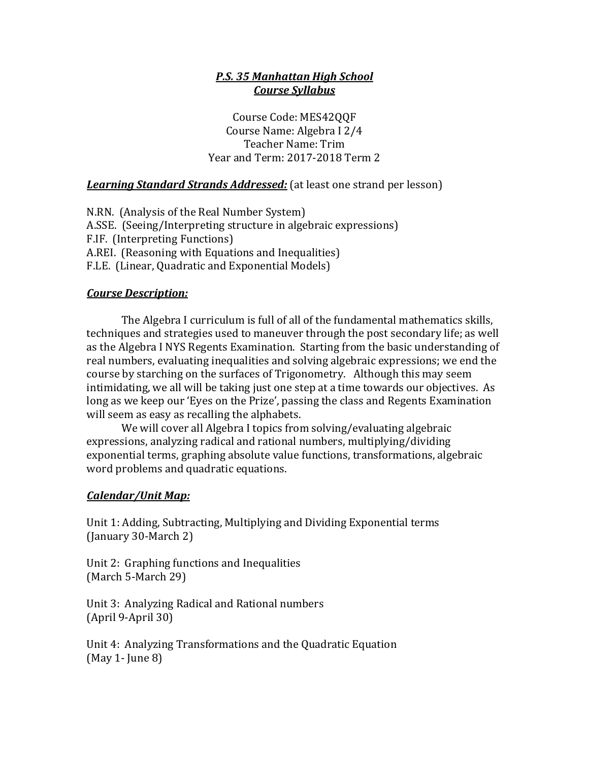## *P.S. 35 Manhattan High School Course Syllabus*

Course Code: MES42QQF Course Name: Algebra I 2/4 Teacher Name: Trim Year and Term: 2017-2018 Term 2

**Learning Standard Strands Addressed:** (at least one strand per lesson)

N.RN. (Analysis of the Real Number System) A.SSE. (Seeing/Interpreting structure in algebraic expressions) F.IF. (Interpreting Functions) A.REI. (Reasoning with Equations and Inequalities) F.LE. (Linear, Quadratic and Exponential Models)

### *Course Description:*

The Algebra I curriculum is full of all of the fundamental mathematics skills, techniques and strategies used to maneuver through the post secondary life; as well as the Algebra I NYS Regents Examination. Starting from the basic understanding of real numbers, evaluating inequalities and solving algebraic expressions; we end the course by starching on the surfaces of Trigonometry. Although this may seem intimidating, we all will be taking just one step at a time towards our objectives. As long as we keep our 'Eyes on the Prize', passing the class and Regents Examination will seem as easy as recalling the alphabets.

We will cover all Algebra I topics from solving/evaluating algebraic expressions, analyzing radical and rational numbers, multiplying/dividing exponential terms, graphing absolute value functions, transformations, algebraic word problems and quadratic equations.

# *Calendar/Unit Map:*

Unit 1: Adding, Subtracting, Multiplying and Dividing Exponential terms (January 30-March 2)

Unit 2: Graphing functions and Inequalities (March 5-March 29)

Unit 3: Analyzing Radical and Rational numbers  $(April 9-April 30)$ 

Unit 4: Analyzing Transformations and the Quadratic Equation  $(May 1- June 8)$